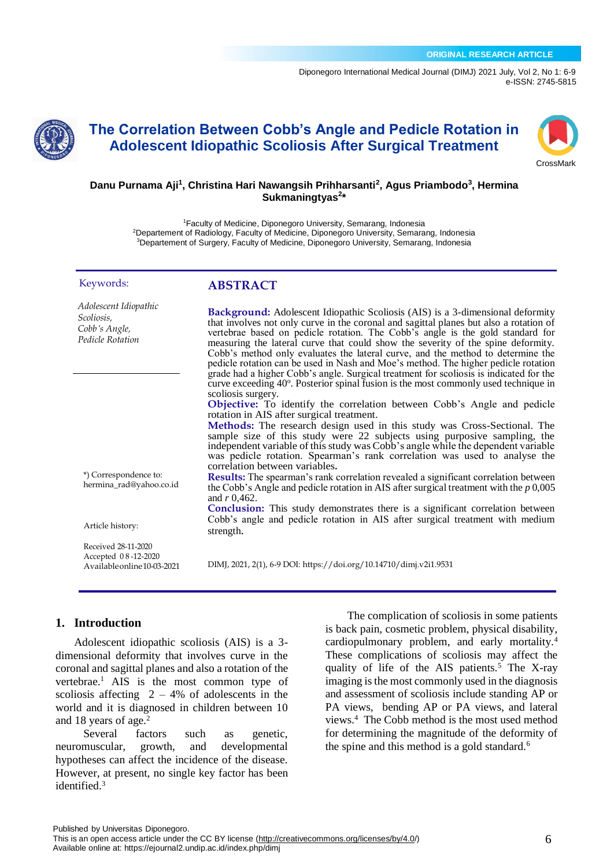[Diponegoro International Medical Journal \(](https://ejournal2.undip.ac.id/index.php/dimj/index)DIMJ) 2021 July, Vol 2, No 1: 6-9 e-ISSN: 2745-5815



# **The Correlation Between Cobb's Angle and Pedicle Rotation in Adolescent Idiopathic Scoliosis After Surgical Treatment**



### **Danu Purnama Aji<sup>1</sup> , Christina Hari Nawangsih Prihharsanti<sup>2</sup> , Agus Priambodo<sup>3</sup> , Hermina Sukmaningtyas<sup>2</sup> \***

<sup>1</sup>Faculty of Medicine, Diponegoro University, Semarang, Indonesia <sup>2</sup>Departement of Radiology, Faculty of Medicine, Diponegoro University, Semarang, Indonesia <sup>3</sup>Departement of Surgery, Faculty of Medicine, Diponegoro University, Semarang, Indonesia

rotation in AIS after surgical treatment.

correlation between variables**.**

**Background:** Adolescent Idiopathic Scoliosis (AIS) is a 3-dimensional deformity that involves not only curve in the coronal and sagittal planes but also a rotation of vertebrae based on pedicle rotation. The Cobb's angle is the gold standard for measuring the lateral curve that could show the severity of the spine deformity. Cobb's method only evaluates the lateral curve, and the method to determine the pedicle rotation can be used in Nash and Moe's method. The higher pedicle rotation grade had a higher Cobb's angle. Surgical treatment for scoliosis is indicated for the  $\frac{1}{2}$  curve exceeding 40 $\degree$ . Posterior spinal fusion is the most commonly used technique in

**Objective:** To identify the correlation between Cobb's Angle and pedicle

**Methods:** The research design used in this study was Cross-Sectional. The sample size of this study were 22 subjects using purposive sampling, the independent variable of this study was Cobb's angle while the dependent variable was pedicle rotation. Spearman's rank correlation was used to analyse the

**Results:** The spearman's rank correlation revealed a significant correlation between the Cobb's Angle and pedicle rotation in AIS after surgical treatment with the *p* 0,005

**Conclusion:** This study demonstrates there is a significant correlation between Cobb's angle and pedicle rotation in AIS after surgical treatment with medium

**ABSTRACT**

scoliosis surgery.

and *r* 0,462.

strength.

#### Keywords:

*Adolescent Idiopathic Scoliosis,* 

*Cobb's Angle, Pedicle Rotation*

\*) Correspondence to: hermina\_rad@yahoo.co.id

Article history:

Received 28-11-2020 Accepted 0 8 -12-2020 Availableonline10-03-2021

DIMJ, 2021, 2(1), 6-9 DOI: https://doi.org/10.14710/dimj.v2i1.9531

### **1. Introduction**

Adolescent idiopathic scoliosis (AIS) is a 3 dimensional deformity that involves curve in the coronal and sagittal planes and also a rotation of the vertebrae. <sup>1</sup> AIS is the most common type of scoliosis affecting  $2 - 4%$  of adolescents in the world and it is diagnosed in children between 10 and 18 years of age.<sup>2</sup>

Several factors such as genetic, neuromuscular, growth, and developmental hypotheses can affect the incidence of the disease. However, at present, no single key factor has been identified.<sup>3</sup>

The complication of scoliosis in some patients is back pain, cosmetic problem, physical disability, cardiopulmonary problem, and early mortality.<sup>4</sup> These complications of scoliosis may affect the quality of life of the AIS patients.<sup>5</sup> The X-ray imaging is the most commonly used in the diagnosis and assessment of scoliosis include standing AP or PA views, bending AP or PA views, and lateral views.<sup>4</sup> The Cobb method is the most used method for determining the magnitude of the deformity of the spine and this method is a gold standard.<sup>6</sup>

This is an open access article under the CC BY license [\(http://creativecommons.org/licenses/by/4.0/\)](http://creativecommons.org/licenses/by/4.0/) Available online at: https://ejournal2.undip.ac.id/index.php/dimj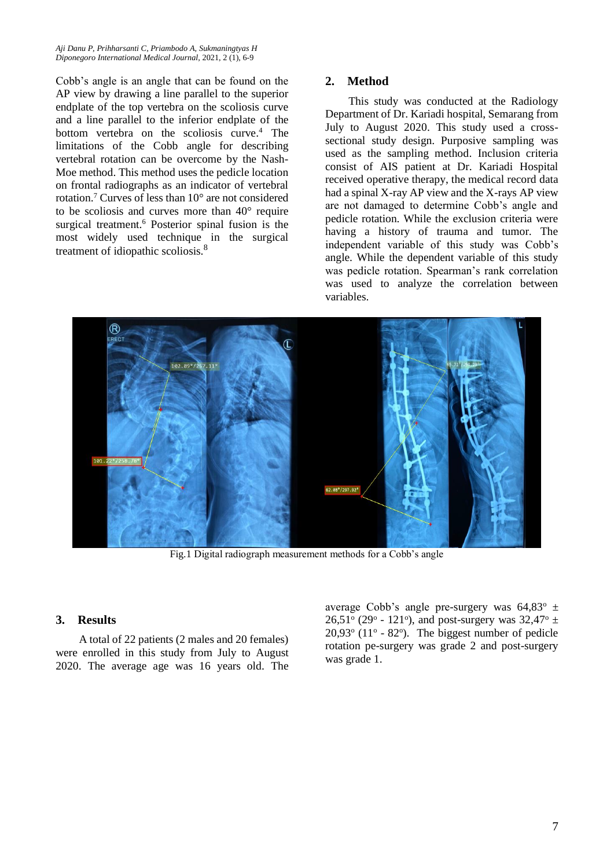*Aji Danu P, Prihharsanti C, Priambodo A, Sukmaningtyas H Diponegoro International Medical Journal,* 2021, 2 (1), 6-9

Cobb's angle is an angle that can be found on the AP view by drawing a line parallel to the superior endplate of the top vertebra on the scoliosis curve and a line parallel to the inferior endplate of the bottom vertebra on the scoliosis curve. <sup>4</sup> The limitations of the Cobb angle for describing vertebral rotation can be overcome by the Nash-Moe method. This method uses the pedicle location on frontal radiographs as an indicator of vertebral rotation.<sup>7</sup> Curves of less than 10° are not considered to be scoliosis and curves more than 40° require surgical treatment.<sup>6</sup> Posterior spinal fusion is the most widely used technique in the surgical treatment of idiopathic scoliosis.<sup>8</sup>

### **2. Method**

This study was conducted at the Radiology Department of Dr. Kariadi hospital, Semarang from July to August 2020. This study used a crosssectional study design. Purposive sampling was used as the sampling method. Inclusion criteria consist of AIS patient at Dr. Kariadi Hospital received operative therapy, the medical record data had a spinal X-ray AP view and the X-rays AP view are not damaged to determine Cobb's angle and pedicle rotation. While the exclusion criteria were having a history of trauma and tumor. The independent variable of this study was Cobb's angle. While the dependent variable of this study was pedicle rotation. Spearman's rank correlation was used to analyze the correlation between variables.



Fig.1 Digital radiograph measurement methods for a Cobb's angle

### **3. Results**

A total of 22 patients (2 males and 20 females) were enrolled in this study from July to August 2020. The average age was 16 years old. The

average Cobb's angle pre-surgery was  $64,83^{\circ}$   $\pm$ 26,51 $\degree$  (29 $\degree$  - 121 $\degree$ ), and post-surgery was 32,47 $\degree$  ±  $20,93^{\circ}$  (11 $^{\circ}$  - 82 $^{\circ}$ ). The biggest number of pedicle rotation pe-surgery was grade 2 and post-surgery was grade 1.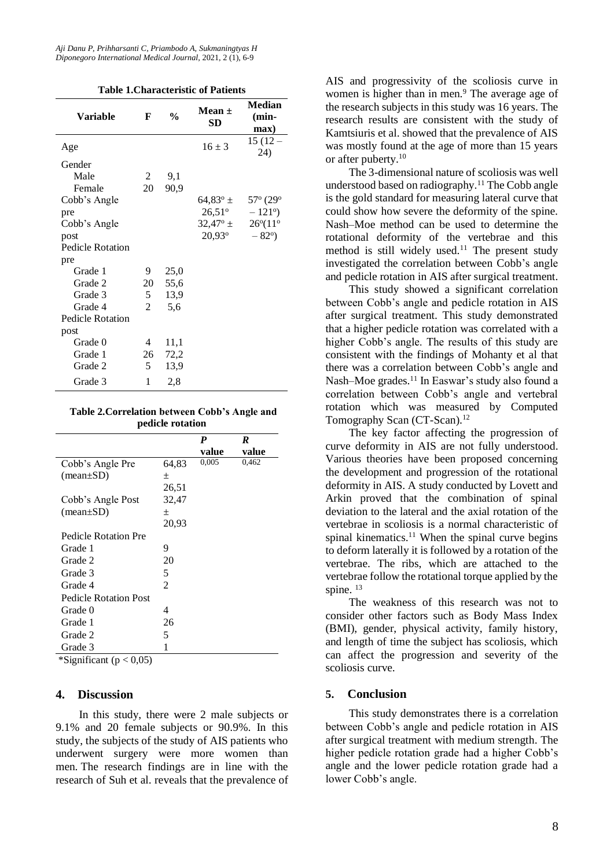| <b>Table 1. Characteristic of Patients</b> |  |
|--------------------------------------------|--|
|--------------------------------------------|--|

| <b>Variable</b>         | F              | $\frac{0}{0}$ | Mean $\pm$<br>SD   | <b>Median</b><br>(min-<br>max) |
|-------------------------|----------------|---------------|--------------------|--------------------------------|
| Age                     |                |               | $16 \pm 3$         | $15(12 -$<br>24)               |
| Gender                  |                |               |                    |                                |
| Male                    | 2              | 9,1           |                    |                                |
| Female                  | 20             | 90,9          |                    |                                |
| Cobb's Angle            |                |               | 64,83 $^{\circ}$ ± | $57^{\circ}$ (29 $^{\circ}$    |
| pre                     |                |               | $26,51^{\circ}$    | $-121^{\circ}$ )               |
| Cobb's Angle            |                |               | $32,47^{\circ}$ ±  | $26^{\circ} (11^{\circ}$       |
| post                    |                |               | $20,93^{\circ}$    | $-82^{\circ}$ )                |
| <b>Pedicle Rotation</b> |                |               |                    |                                |
| pre                     |                |               |                    |                                |
| Grade 1                 | 9              | 25,0          |                    |                                |
| Grade 2                 | 20             | 55,6          |                    |                                |
| Grade 3                 | 5              | 13,9          |                    |                                |
| Grade 4                 | $\overline{2}$ | 5,6           |                    |                                |
| <b>Pedicle Rotation</b> |                |               |                    |                                |
| post                    |                |               |                    |                                |
| Grade 0                 | 4              | 11,1          |                    |                                |
| Grade 1                 | 26             | 72,2          |                    |                                |
| Grade 2                 | 5              | 13,9          |                    |                                |
| Grade 3                 | $\mathbf{1}$   | 2,8           |                    |                                |

**Table 2.Correlation between Cobb's Angle and pedicle rotation**

|                              |       | P     | R     |
|------------------------------|-------|-------|-------|
|                              |       | value | value |
| Cobb's Angle Pre             | 64,83 | 0,005 | 0,462 |
| $(\text{mean}\pm S\text{D})$ | 土     |       |       |
|                              | 26,51 |       |       |
| Cobb's Angle Post            | 32,47 |       |       |
| $(\text{mean}\pm S\text{D})$ | 土     |       |       |
|                              | 20,93 |       |       |
| <b>Pedicle Rotation Pre</b>  |       |       |       |
| Grade 1                      | 9     |       |       |
| Grade 2                      | 20    |       |       |
| Grade 3                      | 5     |       |       |
| Grade 4                      | 2     |       |       |
| <b>Pedicle Rotation Post</b> |       |       |       |
| Grade 0                      | 4     |       |       |
| Grade 1                      | 26    |       |       |
| Grade 2                      | 5     |       |       |
| Grade 3                      | 1     |       |       |

\*Significant ( $p < 0.05$ )

#### **4. Discussion**

In this study, there were 2 male subjects or 9.1% and 20 female subjects or 90.9%. In this study, the subjects of the study of AIS patients who underwent surgery were more women than men. The research findings are in line with the research of Suh et al. reveals that the prevalence of AIS and progressivity of the scoliosis curve in women is higher than in men.<sup>9</sup> The average age of the research subjects in this study was 16 years. The research results are consistent with the study of Kamtsiuris et al. showed that the prevalence of AIS was mostly found at the age of more than 15 years or after puberty. 10

The 3-dimensional nature of scoliosis was well understood based on radiography.<sup>11</sup> The Cobb angle is the gold standard for measuring lateral curve that could show how severe the deformity of the spine. Nash–Moe method can be used to determine the rotational deformity of the vertebrae and this method is still widely used.<sup>11</sup> The present study investigated the correlation between Cobb's angle and pedicle rotation in AIS after surgical treatment.

This study showed a significant correlation between Cobb's angle and pedicle rotation in AIS after surgical treatment. This study demonstrated that a higher pedicle rotation was correlated with a higher Cobb's angle. The results of this study are consistent with the findings of Mohanty et al that there was a correlation between Cobb's angle and Nash–Moe grades.<sup>11</sup> In Easwar's study also found a correlation between Cobb's angle and vertebral rotation which was measured by Computed Tomography Scan (CT-Scan).<sup>12</sup>

The key factor affecting the progression of curve deformity in AIS are not fully understood. Various theories have been proposed concerning the development and progression of the rotational deformity in AIS. A study conducted by Lovett and Arkin proved that the combination of spinal deviation to the lateral and the axial rotation of the vertebrae in scoliosis is a normal characteristic of spinal kinematics.<sup>11</sup> When the spinal curve begins to deform laterally it is followed by a rotation of the vertebrae. The ribs, which are attached to the vertebrae follow the rotational torque applied by the spine.<sup>13</sup>

The weakness of this research was not to consider other factors such as Body Mass Index (BMI), gender, physical activity, family history, and length of time the subject has scoliosis, which can affect the progression and severity of the scoliosis curve.

#### **5. Conclusion**

This study demonstrates there is a correlation between Cobb's angle and pedicle rotation in AIS after surgical treatment with medium strength. The higher pedicle rotation grade had a higher Cobb's angle and the lower pedicle rotation grade had a lower Cobb's angle.